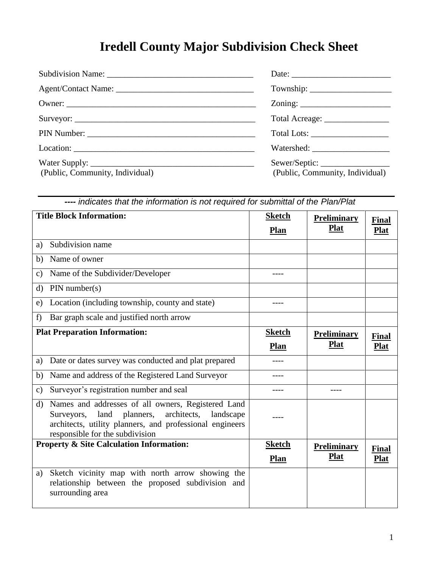## **Iredell County Major Subdivision Check Sheet**

|                                 | Total Acreage: __________________                |
|---------------------------------|--------------------------------------------------|
|                                 |                                                  |
|                                 |                                                  |
| (Public, Community, Individual) | Sewer/Septic:<br>(Public, Community, Individual) |

| ---- indicates that the information is not required for submittal of the Plan/Plat                                                                                                                                     |                              |                                   |                             |  |
|------------------------------------------------------------------------------------------------------------------------------------------------------------------------------------------------------------------------|------------------------------|-----------------------------------|-----------------------------|--|
| <b>Title Block Information:</b>                                                                                                                                                                                        | <b>Sketch</b><br>Plan        | <b>Preliminary</b><br><b>Plat</b> | Final<br><b>Plat</b>        |  |
| Subdivision name<br>a)                                                                                                                                                                                                 |                              |                                   |                             |  |
| Name of owner<br>b)                                                                                                                                                                                                    |                              |                                   |                             |  |
| Name of the Subdivider/Developer<br>$\mathbf{c})$                                                                                                                                                                      |                              |                                   |                             |  |
| PIN number(s)<br>d)                                                                                                                                                                                                    |                              |                                   |                             |  |
| Location (including township, county and state)<br>e)                                                                                                                                                                  |                              |                                   |                             |  |
| Bar graph scale and justified north arrow<br>f)                                                                                                                                                                        |                              |                                   |                             |  |
| <b>Plat Preparation Information:</b>                                                                                                                                                                                   | <b>Sketch</b>                | <b>Preliminary</b>                | Final                       |  |
|                                                                                                                                                                                                                        | <b>Plan</b>                  | <b>Plat</b>                       | <b>Plat</b>                 |  |
| Date or dates survey was conducted and plat prepared<br>a)                                                                                                                                                             |                              |                                   |                             |  |
| Name and address of the Registered Land Surveyor<br>b)                                                                                                                                                                 |                              |                                   |                             |  |
| Surveyor's registration number and seal<br>$\mathbf{c})$                                                                                                                                                               | ----                         |                                   |                             |  |
| Names and addresses of all owners, Registered Land<br>d)<br>architects,<br>land<br>planners,<br>landscape<br>Surveyors,<br>architects, utility planners, and professional engineers<br>responsible for the subdivision |                              |                                   |                             |  |
| <b>Property &amp; Site Calculation Information:</b>                                                                                                                                                                    | <b>Sketch</b><br><b>Plan</b> | <b>Preliminary</b><br><b>Plat</b> | <b>Final</b><br><b>Plat</b> |  |
| Sketch vicinity map with north arrow showing the<br>a)<br>relationship between the proposed subdivision and<br>surrounding area                                                                                        |                              |                                   |                             |  |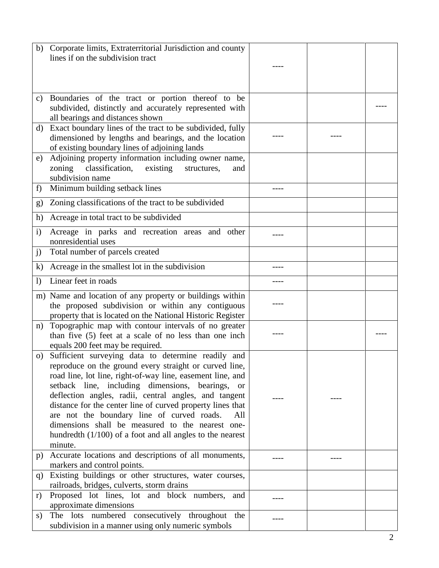|                  | Corporate limits, Extraterritorial Jurisdiction and county  |      |  |
|------------------|-------------------------------------------------------------|------|--|
| b)               |                                                             |      |  |
|                  | lines if on the subdivision tract                           |      |  |
|                  |                                                             |      |  |
|                  |                                                             |      |  |
|                  |                                                             |      |  |
|                  |                                                             |      |  |
| c)               | Boundaries of the tract or portion thereof to be            |      |  |
|                  | subdivided, distinctly and accurately represented with      |      |  |
|                  | all bearings and distances shown                            |      |  |
| d)               | Exact boundary lines of the tract to be subdivided, fully   |      |  |
|                  | dimensioned by lengths and bearings, and the location       |      |  |
|                  |                                                             |      |  |
|                  | of existing boundary lines of adjoining lands               |      |  |
| e)               | Adjoining property information including owner name,        |      |  |
|                  | classification, existing<br>zoning<br>structures,<br>and    |      |  |
|                  | subdivision name                                            |      |  |
| f)               | Minimum building setback lines                              | ---- |  |
|                  |                                                             |      |  |
| g)               | Zoning classifications of the tract to be subdivided        |      |  |
|                  |                                                             |      |  |
| h)               | Acreage in total tract to be subdivided                     |      |  |
|                  |                                                             |      |  |
| $\mathbf{i}$     | Acreage in parks and recreation areas and other             |      |  |
|                  | nonresidential uses                                         |      |  |
| j)               | Total number of parcels created                             |      |  |
|                  |                                                             |      |  |
| $\bf{k}$         | Acreage in the smallest lot in the subdivision              |      |  |
|                  |                                                             |      |  |
| $\left( \right)$ | Linear feet in roads                                        |      |  |
|                  | m) Name and location of any property or buildings within    |      |  |
|                  |                                                             |      |  |
|                  | the proposed subdivision or within any contiguous           |      |  |
|                  | property that is located on the National Historic Register  |      |  |
| n)               | Topographic map with contour intervals of no greater        |      |  |
|                  | than five (5) feet at a scale of no less than one inch      |      |  |
|                  | equals 200 feet may be required.                            |      |  |
|                  |                                                             |      |  |
| O)               | Sufficient surveying data to determine readily and          |      |  |
|                  | reproduce on the ground every straight or curved line,      |      |  |
|                  | road line, lot line, right-of-way line, easement line, and  |      |  |
|                  | setback line, including dimensions, bearings, or            |      |  |
|                  | deflection angles, radii, central angles, and tangent       |      |  |
|                  |                                                             |      |  |
|                  | distance for the center line of curved property lines that  |      |  |
|                  | are not the boundary line of curved roads.<br>All           |      |  |
|                  | dimensions shall be measured to the nearest one-            |      |  |
|                  | hundredth $(1/100)$ of a foot and all angles to the nearest |      |  |
|                  | minute.                                                     |      |  |
|                  |                                                             |      |  |
| p)               | Accurate locations and descriptions of all monuments,       |      |  |
|                  | markers and control points.                                 |      |  |
| q)               | Existing buildings or other structures, water courses,      |      |  |
|                  | railroads, bridges, culverts, storm drains                  |      |  |
|                  | Proposed lot lines, lot and block numbers,<br>and           |      |  |
| r)               |                                                             |      |  |
|                  | approximate dimensions                                      |      |  |
| s)               | The lots numbered consecutively throughout the              |      |  |
|                  | subdivision in a manner using only numeric symbols          |      |  |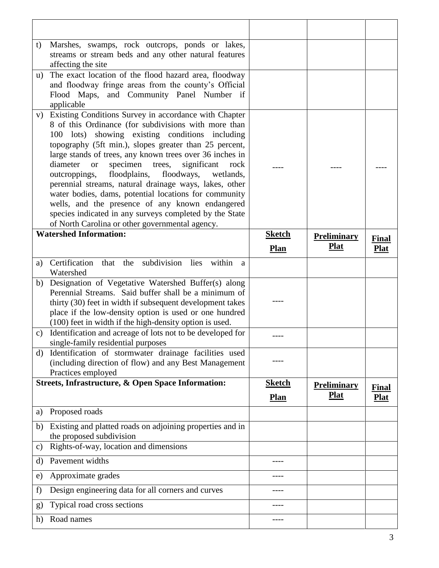| t)             | Marshes, swamps, rock outcrops, ponds or lakes,<br>streams or stream beds and any other natural features<br>affecting the site                                                                                                                                                                                                                                                                                                                                                                                                                                                                                                                                                                               |               |                    |                             |
|----------------|--------------------------------------------------------------------------------------------------------------------------------------------------------------------------------------------------------------------------------------------------------------------------------------------------------------------------------------------------------------------------------------------------------------------------------------------------------------------------------------------------------------------------------------------------------------------------------------------------------------------------------------------------------------------------------------------------------------|---------------|--------------------|-----------------------------|
| $\mathbf{u}$ ) | The exact location of the flood hazard area, floodway<br>and floodway fringe areas from the county's Official<br>Flood Maps, and Community Panel Number if<br>applicable                                                                                                                                                                                                                                                                                                                                                                                                                                                                                                                                     |               |                    |                             |
| V)             | Existing Conditions Survey in accordance with Chapter<br>8 of this Ordinance (for subdivisions with more than<br>100 lots) showing existing conditions including<br>topography (5ft min.), slopes greater than 25 percent,<br>large stands of trees, any known trees over 36 inches in<br>specimen<br>diameter<br>trees,<br>significant<br>rock<br><b>or</b><br>floodways,<br>outcroppings,<br>floodplains,<br>wetlands,<br>perennial streams, natural drainage ways, lakes, other<br>water bodies, dams, potential locations for community<br>wells, and the presence of any known endangered<br>species indicated in any surveys completed by the State<br>of North Carolina or other governmental agency. |               |                    |                             |
|                | <b>Watershed Information:</b>                                                                                                                                                                                                                                                                                                                                                                                                                                                                                                                                                                                                                                                                                | <b>Sketch</b> | <b>Preliminary</b> |                             |
|                |                                                                                                                                                                                                                                                                                                                                                                                                                                                                                                                                                                                                                                                                                                              | <b>Plan</b>   | <b>Plat</b>        | <b>Final</b><br><b>Plat</b> |
| a)             | Certification<br>subdivision lies<br>within<br>that<br>the<br>a<br>Watershed                                                                                                                                                                                                                                                                                                                                                                                                                                                                                                                                                                                                                                 |               |                    |                             |
| b)             | Designation of Vegetative Watershed Buffer(s) along                                                                                                                                                                                                                                                                                                                                                                                                                                                                                                                                                                                                                                                          |               |                    |                             |
|                | Perennial Streams. Said buffer shall be a minimum of<br>thirty (30) feet in width if subsequent development takes<br>place if the low-density option is used or one hundred<br>(100) feet in width if the high-density option is used.                                                                                                                                                                                                                                                                                                                                                                                                                                                                       |               |                    |                             |
| c)             | Identification and acreage of lots not to be developed for<br>single-family residential purposes                                                                                                                                                                                                                                                                                                                                                                                                                                                                                                                                                                                                             |               |                    |                             |
| d)             | Identification of stormwater drainage facilities used<br>(including direction of flow) and any Best Management<br>Practices employed                                                                                                                                                                                                                                                                                                                                                                                                                                                                                                                                                                         |               |                    |                             |
|                | <b>Streets, Infrastructure, &amp; Open Space Information:</b>                                                                                                                                                                                                                                                                                                                                                                                                                                                                                                                                                                                                                                                | <b>Sketch</b> | <b>Preliminary</b> |                             |
|                |                                                                                                                                                                                                                                                                                                                                                                                                                                                                                                                                                                                                                                                                                                              | <b>Plan</b>   | <u>Plat</u>        | <b>Final</b><br><b>Plat</b> |
| a)             | Proposed roads                                                                                                                                                                                                                                                                                                                                                                                                                                                                                                                                                                                                                                                                                               |               |                    |                             |
| b)             | Existing and platted roads on adjoining properties and in<br>the proposed subdivision                                                                                                                                                                                                                                                                                                                                                                                                                                                                                                                                                                                                                        |               |                    |                             |
| C)             | Rights-of-way, location and dimensions                                                                                                                                                                                                                                                                                                                                                                                                                                                                                                                                                                                                                                                                       |               |                    |                             |
| d)             | Pavement widths                                                                                                                                                                                                                                                                                                                                                                                                                                                                                                                                                                                                                                                                                              |               |                    |                             |
| e)             | Approximate grades                                                                                                                                                                                                                                                                                                                                                                                                                                                                                                                                                                                                                                                                                           |               |                    |                             |
| f)             | Design engineering data for all corners and curves                                                                                                                                                                                                                                                                                                                                                                                                                                                                                                                                                                                                                                                           |               |                    |                             |
| $\mathbf{g}$   | Typical road cross sections                                                                                                                                                                                                                                                                                                                                                                                                                                                                                                                                                                                                                                                                                  |               |                    |                             |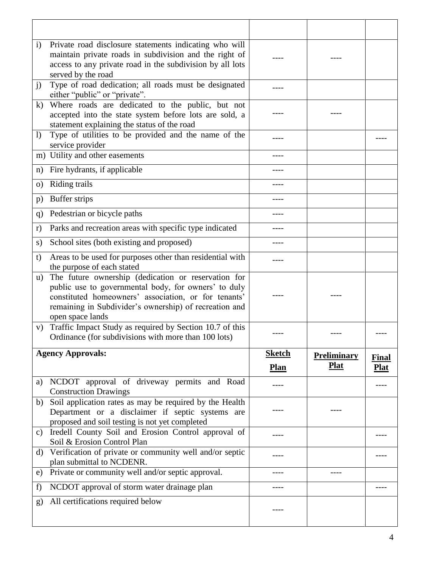| $\mathbf{i}$     | Private road disclosure statements indicating who will<br>maintain private roads in subdivision and the right of<br>access to any private road in the subdivision by all lots<br>served by the road |               |                    |              |
|------------------|-----------------------------------------------------------------------------------------------------------------------------------------------------------------------------------------------------|---------------|--------------------|--------------|
| j)               | Type of road dedication; all roads must be designated<br>either "public" or "private".                                                                                                              |               |                    |              |
| $\bf k)$         | Where roads are dedicated to the public, but not<br>accepted into the state system before lots are sold, a<br>statement explaining the status of the road                                           |               |                    |              |
| $\left( \right)$ | Type of utilities to be provided and the name of the<br>service provider                                                                                                                            |               |                    |              |
|                  | m) Utility and other easements                                                                                                                                                                      |               |                    |              |
| n)               | Fire hydrants, if applicable                                                                                                                                                                        |               |                    |              |
| $\circ$ )        | Riding trails                                                                                                                                                                                       | ----          |                    |              |
| p)               | Buffer strips                                                                                                                                                                                       |               |                    |              |
| q)               | Pedestrian or bicycle paths                                                                                                                                                                         |               |                    |              |
| r)               | Parks and recreation areas with specific type indicated                                                                                                                                             |               |                    |              |
| S)               | School sites (both existing and proposed)                                                                                                                                                           | ----          |                    |              |
| t)               | Areas to be used for purposes other than residential with<br>the purpose of each stated                                                                                                             | ----          |                    |              |
| $\mathbf{u}$ )   | The future ownership (dedication or reservation for                                                                                                                                                 |               |                    |              |
|                  | public use to governmental body, for owners' to duly<br>constituted homeowners' association, or for tenants'<br>remaining in Subdivider's ownership) of recreation and<br>open space lands          |               |                    |              |
| V)               | Traffic Impact Study as required by Section 10.7 of this<br>Ordinance (for subdivisions with more than 100 lots)                                                                                    |               |                    |              |
|                  | <b>Agency Approvals:</b>                                                                                                                                                                            | <b>Sketch</b> | <b>Preliminary</b> | <b>Final</b> |
|                  |                                                                                                                                                                                                     | <b>Plan</b>   | <b>Plat</b>        | <b>Plat</b>  |
| a)               | NCDOT approval of driveway permits and Road<br><b>Construction Drawings</b>                                                                                                                         |               |                    |              |
| b)               | Soil application rates as may be required by the Health<br>Department or a disclaimer if septic systems are<br>proposed and soil testing is not yet completed                                       |               |                    |              |
| C)               | Iredell County Soil and Erosion Control approval of<br>Soil & Erosion Control Plan                                                                                                                  |               |                    |              |
| d)               | Verification of private or community well and/or septic<br>plan submittal to NCDENR.                                                                                                                |               |                    |              |
| e)               | Private or community well and/or septic approval.                                                                                                                                                   | ----          | ----               |              |
| f)               | NCDOT approval of storm water drainage plan                                                                                                                                                         |               |                    |              |